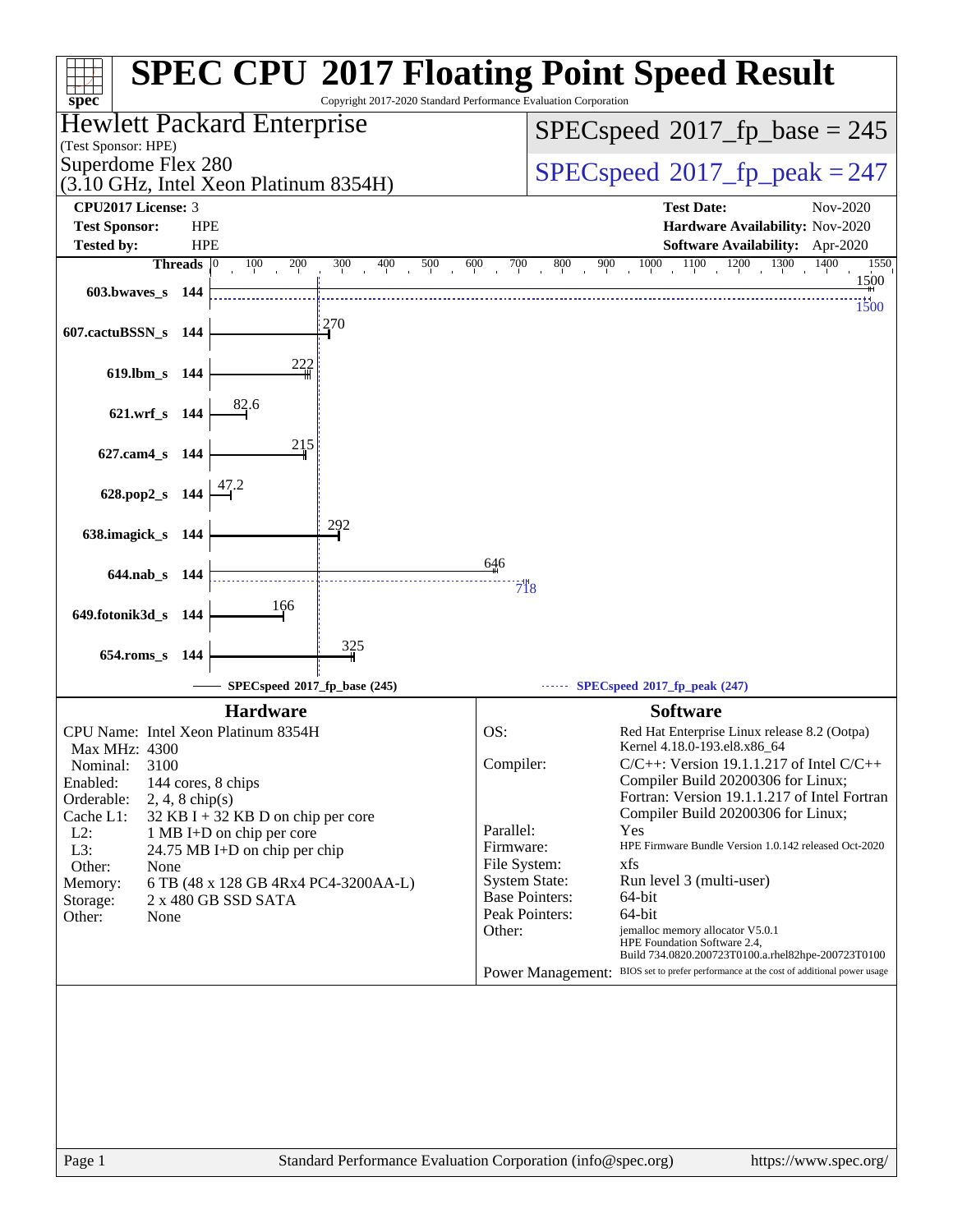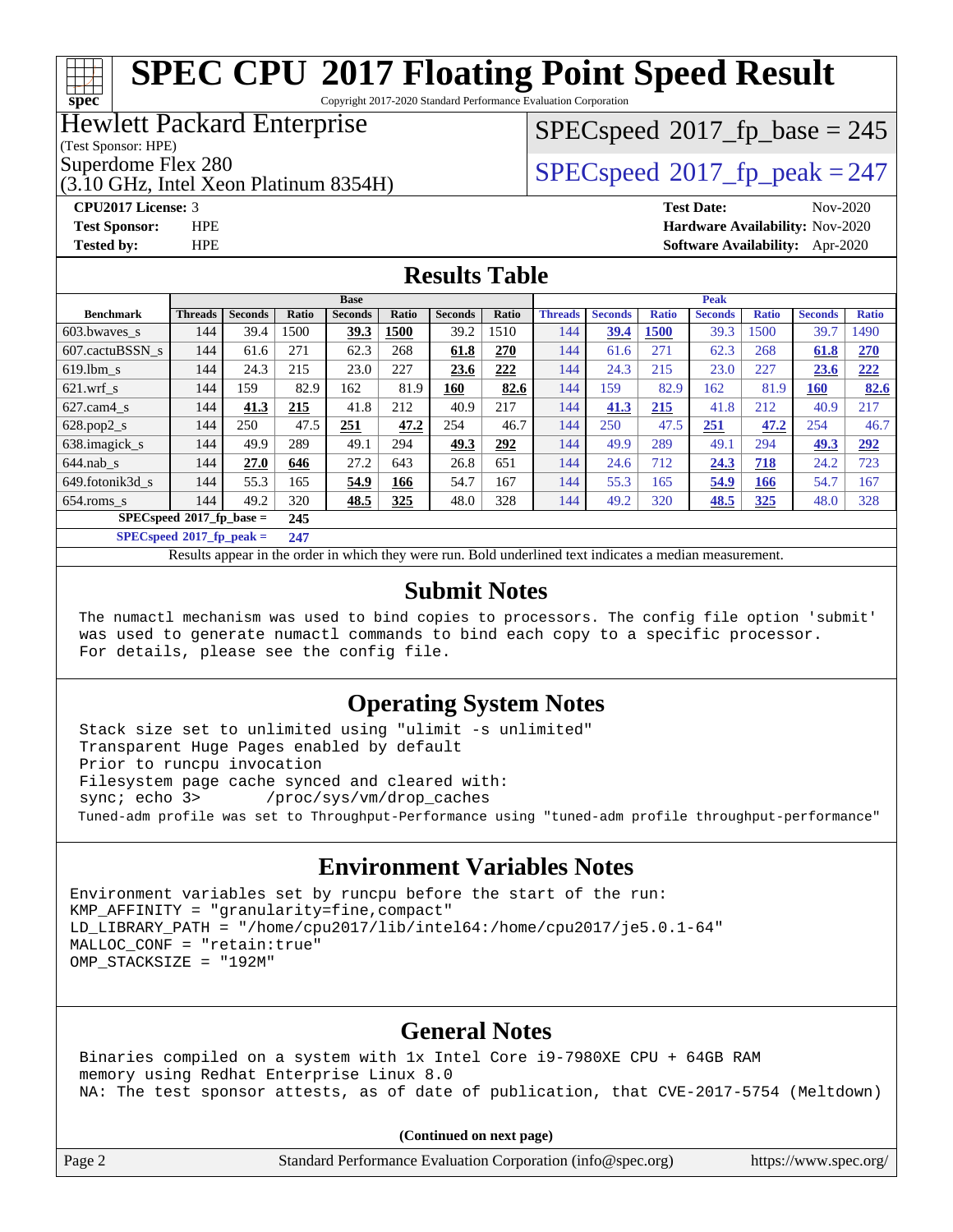Copyright 2017-2020 Standard Performance Evaluation Corporation

#### Hewlett Packard Enterprise

(Test Sponsor: HPE)

**[spec](http://www.spec.org/)**

(3.10 GHz, Intel Xeon Platinum 8354H)

# $SPEC speed^{\circ}2017\_fp\_base = 245$

Superdome Flex 280<br>  $SPEC speed^{\circ}2017$  fp\_peak = 247

**[CPU2017 License:](http://www.spec.org/auto/cpu2017/Docs/result-fields.html#CPU2017License)** 3 **[Test Date:](http://www.spec.org/auto/cpu2017/Docs/result-fields.html#TestDate)** Nov-2020 **[Test Sponsor:](http://www.spec.org/auto/cpu2017/Docs/result-fields.html#TestSponsor)** HPE **[Hardware Availability:](http://www.spec.org/auto/cpu2017/Docs/result-fields.html#HardwareAvailability)** Nov-2020 **[Tested by:](http://www.spec.org/auto/cpu2017/Docs/result-fields.html#Testedby)** HPE **[Software Availability:](http://www.spec.org/auto/cpu2017/Docs/result-fields.html#SoftwareAvailability)** Apr-2020

#### **[Results Table](http://www.spec.org/auto/cpu2017/Docs/result-fields.html#ResultsTable)**

|                                   | <b>Base</b>    |                |       |                | <b>Peak</b> |                |       |                |                |              |                |              |                |              |
|-----------------------------------|----------------|----------------|-------|----------------|-------------|----------------|-------|----------------|----------------|--------------|----------------|--------------|----------------|--------------|
| <b>Benchmark</b>                  | <b>Threads</b> | <b>Seconds</b> | Ratio | <b>Seconds</b> | Ratio       | <b>Seconds</b> | Ratio | <b>Threads</b> | <b>Seconds</b> | <b>Ratio</b> | <b>Seconds</b> | <b>Ratio</b> | <b>Seconds</b> | <b>Ratio</b> |
| 603.bwayes s                      | 144            | 39.4           | 1500  | 39.3           | 1500        | 39.2           | 1510  | 144            | 39.4           | 1500         | 39.3           | 1500         | 39.7           | 1490         |
| 607.cactuBSSN s                   | 144            | 61.6           | 271   | 62.3           | 268         | 61.8           | 270   | 144            | 61.6           | 271          | 62.3           | 268          | 61.8           | 270          |
| $619.$ lbm s                      | 144            | 24.3           | 215   | 23.0           | 227         | 23.6           | 222   | 144            | 24.3           | 215          | 23.0           | 227          | 23.6           | 222          |
| $621$ .wrf s                      | 144            | 159            | 82.9  | 162            | 81.9        | 160            | 82.6  | 144            | 159            | 82.9         | 162            | 81.9         | <b>160</b>     | 82.6         |
| $627$ .cam $4 \text{ s}$          | 144            | 41.3           | 215   | 41.8           | 212         | 40.9           | 217   | 144            | 41.3           | 215          | 41.8           | 212          | 40.9           | 217          |
| $628.pop2_s$                      | 144            | 250            | 47.5  | 251            | 47.2        | 254            | 46.7  | 144            | 250            | 47.5         | 251            | 47.2         | 254            | 46.7         |
| 638.imagick s                     | 144            | 49.9           | 289   | 49.1           | 294         | 49.3           | 292   | 144            | 49.9           | 289          | 49.1           | 294          | 49.3           | 292          |
| $644$ .nab s                      | 144            | 27.0           | 646   | 27.2           | 643         | 26.8           | 651   | 144            | 24.6           | 712          | 24.3           | 718          | 24.2           | 723          |
| 649.fotonik3d s                   | 144            | 55.3           | 165   | 54.9           | 166         | 54.7           | 167   | 144            | 55.3           | 165          | 54.9           | 166          | 54.7           | 167          |
| $654$ .roms s                     | 144            | 49.2           | 320   | 48.5           | 325         | 48.0           | 328   | 144            | 49.2           | 320          | <b>48.5</b>    | 325          | 48.0           | 328          |
| $SPECspeed*2017$ fp base =        |                |                | 245   |                |             |                |       |                |                |              |                |              |                |              |
| $SPECspeed^{\circ}2017$ fp peak = |                |                | 247   |                |             |                |       |                |                |              |                |              |                |              |

Results appear in the [order in which they were run](http://www.spec.org/auto/cpu2017/Docs/result-fields.html#RunOrder). Bold underlined text [indicates a median measurement](http://www.spec.org/auto/cpu2017/Docs/result-fields.html#Median).

#### **[Submit Notes](http://www.spec.org/auto/cpu2017/Docs/result-fields.html#SubmitNotes)**

 The numactl mechanism was used to bind copies to processors. The config file option 'submit' was used to generate numactl commands to bind each copy to a specific processor. For details, please see the config file.

#### **[Operating System Notes](http://www.spec.org/auto/cpu2017/Docs/result-fields.html#OperatingSystemNotes)**

 Stack size set to unlimited using "ulimit -s unlimited" Transparent Huge Pages enabled by default Prior to runcpu invocation Filesystem page cache synced and cleared with: sync; echo 3> /proc/sys/vm/drop\_caches Tuned-adm profile was set to Throughput-Performance using "tuned-adm profile throughput-performance"

#### **[Environment Variables Notes](http://www.spec.org/auto/cpu2017/Docs/result-fields.html#EnvironmentVariablesNotes)**

Environment variables set by runcpu before the start of the run:  $KMP$  AFFINITY = "granularity=fine, compact" LD\_LIBRARY\_PATH = "/home/cpu2017/lib/intel64:/home/cpu2017/je5.0.1-64" MALLOC\_CONF = "retain:true" OMP\_STACKSIZE = "192M"

#### **[General Notes](http://www.spec.org/auto/cpu2017/Docs/result-fields.html#GeneralNotes)**

 Binaries compiled on a system with 1x Intel Core i9-7980XE CPU + 64GB RAM memory using Redhat Enterprise Linux 8.0 NA: The test sponsor attests, as of date of publication, that CVE-2017-5754 (Meltdown)

**(Continued on next page)**

Page 2 Standard Performance Evaluation Corporation [\(info@spec.org\)](mailto:info@spec.org) <https://www.spec.org/>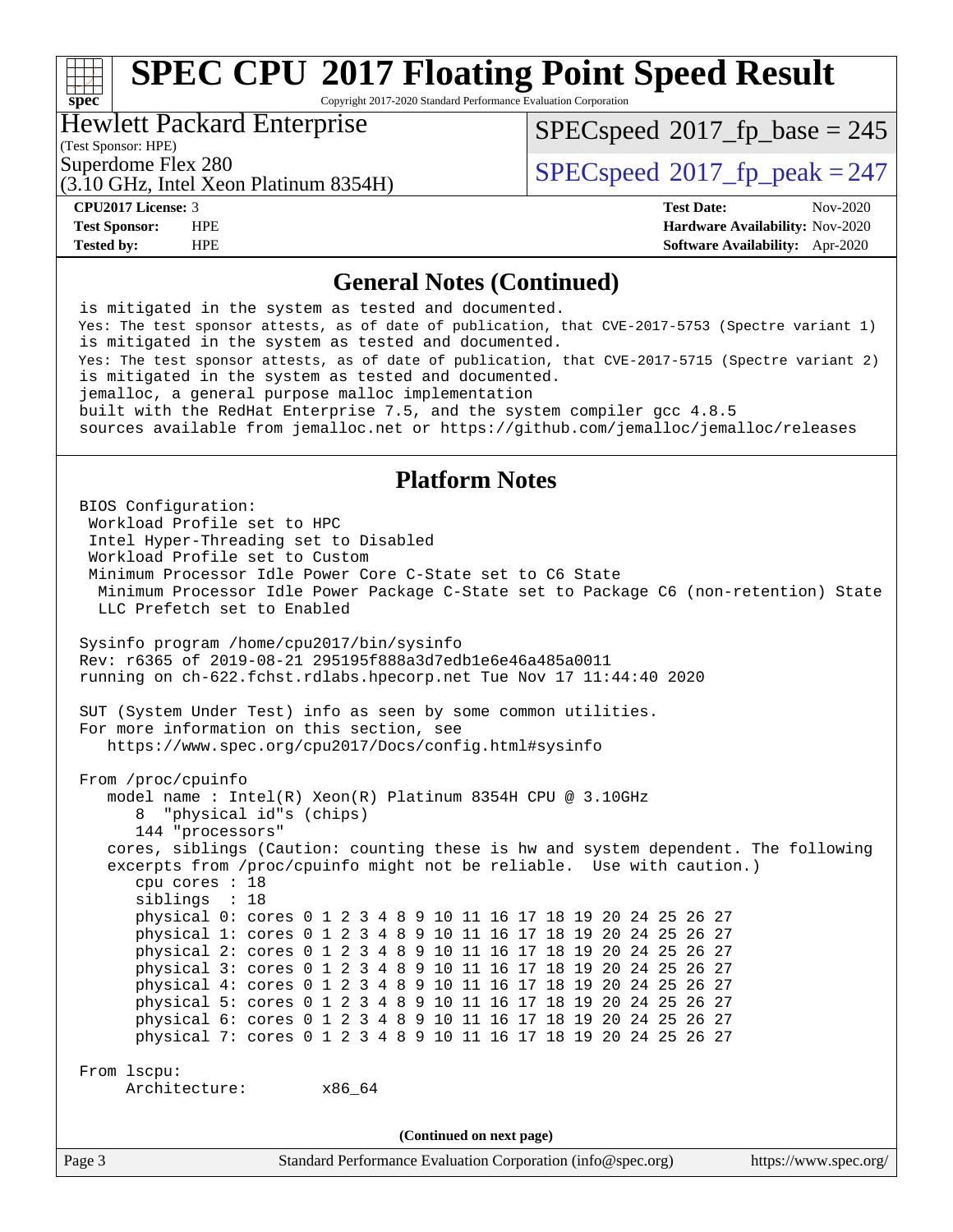Copyright 2017-2020 Standard Performance Evaluation Corporation

#### Hewlett Packard Enterprise

(Test Sponsor: HPE)

**[spec](http://www.spec.org/)**

[SPECspeed](http://www.spec.org/auto/cpu2017/Docs/result-fields.html#SPECspeed2017fpbase)<sup>®</sup>2017 fp base = 245

(3.10 GHz, Intel Xeon Platinum 8354H)

Superdome Flex 280<br>  $SPEC speed^{\circ}2017$  fp\_peak = 247

**[CPU2017 License:](http://www.spec.org/auto/cpu2017/Docs/result-fields.html#CPU2017License)** 3 **[Test Date:](http://www.spec.org/auto/cpu2017/Docs/result-fields.html#TestDate)** Nov-2020 **[Test Sponsor:](http://www.spec.org/auto/cpu2017/Docs/result-fields.html#TestSponsor)** HPE **[Hardware Availability:](http://www.spec.org/auto/cpu2017/Docs/result-fields.html#HardwareAvailability)** Nov-2020 **[Tested by:](http://www.spec.org/auto/cpu2017/Docs/result-fields.html#Testedby)** HPE **[Software Availability:](http://www.spec.org/auto/cpu2017/Docs/result-fields.html#SoftwareAvailability)** Apr-2020

#### **[General Notes \(Continued\)](http://www.spec.org/auto/cpu2017/Docs/result-fields.html#GeneralNotes)**

 is mitigated in the system as tested and documented. Yes: The test sponsor attests, as of date of publication, that CVE-2017-5753 (Spectre variant 1) is mitigated in the system as tested and documented. Yes: The test sponsor attests, as of date of publication, that CVE-2017-5715 (Spectre variant 2) is mitigated in the system as tested and documented. jemalloc, a general purpose malloc implementation built with the RedHat Enterprise 7.5, and the system compiler gcc 4.8.5 sources available from jemalloc.net or<https://github.com/jemalloc/jemalloc/releases>

#### **[Platform Notes](http://www.spec.org/auto/cpu2017/Docs/result-fields.html#PlatformNotes)**

Page 3 Standard Performance Evaluation Corporation [\(info@spec.org\)](mailto:info@spec.org) <https://www.spec.org/> BIOS Configuration: Workload Profile set to HPC Intel Hyper-Threading set to Disabled Workload Profile set to Custom Minimum Processor Idle Power Core C-State set to C6 State Minimum Processor Idle Power Package C-State set to Package C6 (non-retention) State LLC Prefetch set to Enabled Sysinfo program /home/cpu2017/bin/sysinfo Rev: r6365 of 2019-08-21 295195f888a3d7edb1e6e46a485a0011 running on ch-622.fchst.rdlabs.hpecorp.net Tue Nov 17 11:44:40 2020 SUT (System Under Test) info as seen by some common utilities. For more information on this section, see <https://www.spec.org/cpu2017/Docs/config.html#sysinfo> From /proc/cpuinfo model name : Intel(R) Xeon(R) Platinum 8354H CPU @ 3.10GHz 8 "physical id"s (chips) 144 "processors" cores, siblings (Caution: counting these is hw and system dependent. The following excerpts from /proc/cpuinfo might not be reliable. Use with caution.) cpu cores : 18 siblings : 18 physical 0: cores 0 1 2 3 4 8 9 10 11 16 17 18 19 20 24 25 26 27 physical 1: cores 0 1 2 3 4 8 9 10 11 16 17 18 19 20 24 25 26 27 physical 2: cores 0 1 2 3 4 8 9 10 11 16 17 18 19 20 24 25 26 27 physical 3: cores 0 1 2 3 4 8 9 10 11 16 17 18 19 20 24 25 26 27 physical 4: cores 0 1 2 3 4 8 9 10 11 16 17 18 19 20 24 25 26 27 physical 5: cores 0 1 2 3 4 8 9 10 11 16 17 18 19 20 24 25 26 27 physical 6: cores 0 1 2 3 4 8 9 10 11 16 17 18 19 20 24 25 26 27 physical 7: cores 0 1 2 3 4 8 9 10 11 16 17 18 19 20 24 25 26 27 From lscpu: Architecture: x86\_64 **(Continued on next page)**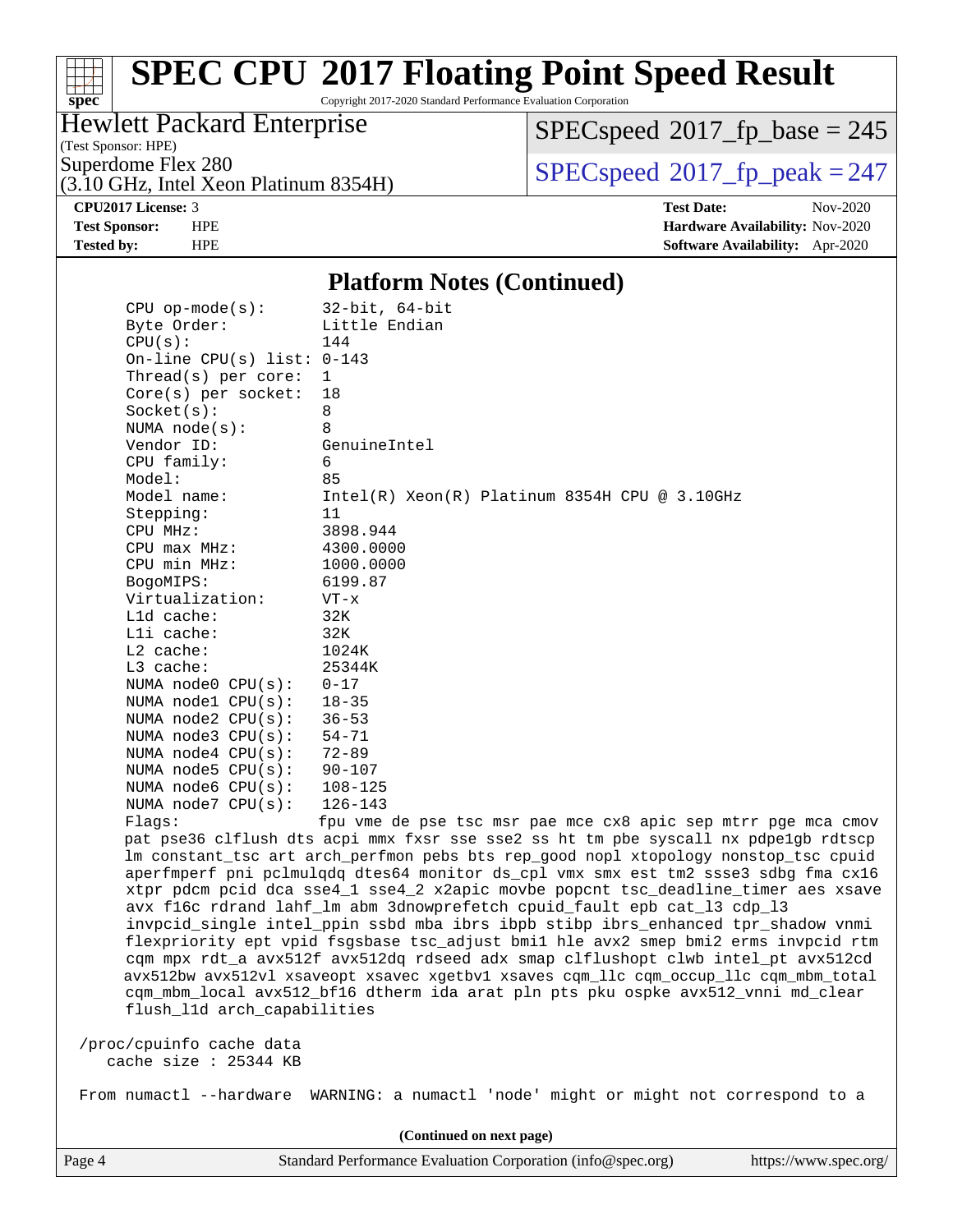#### $\pm$   $\mu$ **[spec](http://www.spec.org/)**

# **[SPEC CPU](http://www.spec.org/auto/cpu2017/Docs/result-fields.html#SPECCPU2017FloatingPointSpeedResult)[2017 Floating Point Speed Result](http://www.spec.org/auto/cpu2017/Docs/result-fields.html#SPECCPU2017FloatingPointSpeedResult)**

Copyright 2017-2020 Standard Performance Evaluation Corporation

### Hewlett Packard Enterprise

(Test Sponsor: HPE)

 $SPEC speed$ <sup>®</sup> $2017$ \_fp\_base = 245

(3.10 GHz, Intel Xeon Platinum 8354H)

Superdome Flex 280<br>  $\begin{array}{c}\n\text{SPEC speed} \textcirc 2017\_fp\_peak = 247 \\
\text{SPEC speed} \textcirc 2017\_fp\_peak = 247\n\end{array}$ 

**[CPU2017 License:](http://www.spec.org/auto/cpu2017/Docs/result-fields.html#CPU2017License)** 3 **[Test Date:](http://www.spec.org/auto/cpu2017/Docs/result-fields.html#TestDate)** Nov-2020 **[Test Sponsor:](http://www.spec.org/auto/cpu2017/Docs/result-fields.html#TestSponsor)** HPE **[Hardware Availability:](http://www.spec.org/auto/cpu2017/Docs/result-fields.html#HardwareAvailability)** Nov-2020 **[Tested by:](http://www.spec.org/auto/cpu2017/Docs/result-fields.html#Testedby)** HPE **[Software Availability:](http://www.spec.org/auto/cpu2017/Docs/result-fields.html#SoftwareAvailability)** Apr-2020

#### **[Platform Notes \(Continued\)](http://www.spec.org/auto/cpu2017/Docs/result-fields.html#PlatformNotes)**

| $CPU$ op-mode(s):            | $32$ -bit, $64$ -bit                                                                 |
|------------------------------|--------------------------------------------------------------------------------------|
| Byte Order:                  | Little Endian                                                                        |
| CPU(s):                      | 144                                                                                  |
| On-line CPU(s) list: $0-143$ |                                                                                      |
| Thread(s) per core:          | 1                                                                                    |
| $Core(s)$ per socket:        | 18                                                                                   |
| Socket(s):                   | 8                                                                                    |
| NUMA $node(s)$ :             | 8                                                                                    |
| Vendor ID:                   | GenuineIntel                                                                         |
| CPU family:                  | 6                                                                                    |
| Model:                       | 85                                                                                   |
| Model name:                  | Intel(R) Xeon(R) Platinum 8354H CPU @ 3.10GHz                                        |
| Stepping:                    | 11                                                                                   |
| CPU MHz:                     | 3898.944                                                                             |
| CPU max MHz:                 | 4300.0000                                                                            |
| CPU min MHz:                 | 1000.0000                                                                            |
| BogoMIPS:                    | 6199.87                                                                              |
| Virtualization:              | $VT - x$                                                                             |
| L1d cache:                   | 32K                                                                                  |
| $L1i$ cache:                 | 32K                                                                                  |
| L2 cache:                    | 1024K                                                                                |
| L3 cache:                    | 25344K                                                                               |
| NUMA node0 CPU(s):           | $0 - 17$                                                                             |
| NUMA nodel CPU(s):           | $18 - 35$                                                                            |
| NUMA $node2$ $CPU(s):$       | $36 - 53$                                                                            |
| NUMA $node3$ $CPU(s)$ :      | $54 - 71$                                                                            |
| NUMA node4 CPU(s):           | $72 - 89$                                                                            |
| NUMA node5 $CPU(s):$         | $90 - 107$                                                                           |
| NUMA node6 $CPU(s):$         | $108 - 125$                                                                          |
| NUMA node7 CPU(s):           | $126 - 143$                                                                          |
| Flags:                       | fpu vme de pse tsc msr pae mce cx8 apic sep mtrr pge mca cmov                        |
|                              | pat pse36 clflush dts acpi mmx fxsr sse sse2 ss ht tm pbe syscall nx pdpelgb rdtscp  |
|                              | lm constant_tsc art arch_perfmon pebs bts rep_good nopl xtopology nonstop_tsc cpuid  |
|                              | aperfmperf pni pclmulqdq dtes64 monitor ds_cpl vmx smx est tm2 ssse3 sdbg fma cx16   |
|                              | xtpr pdcm pcid dca sse4_1 sse4_2 x2apic movbe popcnt tsc_deadline_timer aes xsave    |
|                              | avx f16c rdrand lahf_lm abm 3dnowprefetch cpuid_fault epb cat_13 cdp_13              |
|                              | invpcid_single intel_ppin ssbd mba ibrs ibpb stibp ibrs_enhanced tpr_shadow vnmi     |
|                              | flexpriority ept vpid fsgsbase tsc_adjust bmil hle avx2 smep bmi2 erms invpcid rtm   |
|                              | cqm mpx rdt_a avx512f avx512dq rdseed adx smap clflushopt clwb intel_pt avx512cd     |
|                              | avx512bw avx512vl xsaveopt xsavec xgetbvl xsaves cqm_llc cqm_occup_llc cqm_mbm_total |
|                              | cqm_mbm_local avx512_bf16 dtherm ida arat pln pts pku ospke avx512_vnni md_clear     |

flush\_l1d arch\_capabilities

 /proc/cpuinfo cache data cache size : 25344 KB

From numactl --hardware WARNING: a numactl 'node' might or might not correspond to a

**(Continued on next page)**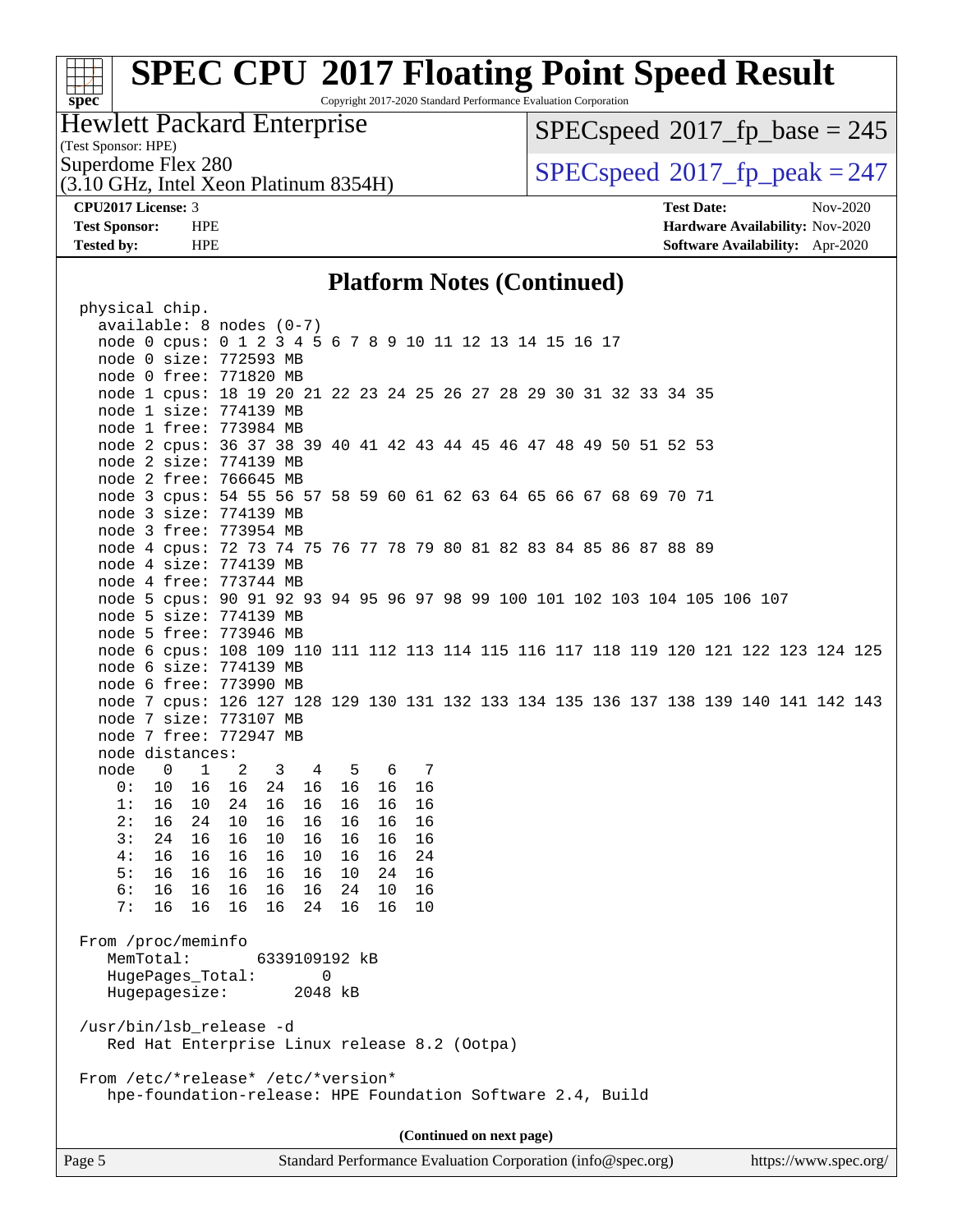Copyright 2017-2020 Standard Performance Evaluation Corporation

### Hewlett Packard Enterprise

(Test Sponsor: HPE)

**[spec](http://www.spec.org/)**

 $SPECspeed*2017_fp\_base = 245$  $SPECspeed*2017_fp\_base = 245$ 

(3.10 GHz, Intel Xeon Platinum 8354H)

Superdome Flex 280<br>  $\begin{array}{|l|l|}\n\hline\n\text{Superdone} & \text{Flex } 280 \\
\hline\n\text{10 GHz Intel Xeon Platinum } 8354\text{H)}\n\hline\n\end{array}$ 

**[CPU2017 License:](http://www.spec.org/auto/cpu2017/Docs/result-fields.html#CPU2017License)** 3 **[Test Date:](http://www.spec.org/auto/cpu2017/Docs/result-fields.html#TestDate)** Nov-2020 **[Test Sponsor:](http://www.spec.org/auto/cpu2017/Docs/result-fields.html#TestSponsor)** HPE **[Hardware Availability:](http://www.spec.org/auto/cpu2017/Docs/result-fields.html#HardwareAvailability)** Nov-2020 **[Tested by:](http://www.spec.org/auto/cpu2017/Docs/result-fields.html#Testedby)** HPE **[Software Availability:](http://www.spec.org/auto/cpu2017/Docs/result-fields.html#SoftwareAvailability)** Apr-2020

#### **[Platform Notes \(Continued\)](http://www.spec.org/auto/cpu2017/Docs/result-fields.html#PlatformNotes)**

| physical chip.                                                                       |  |  |  |  |  |  |
|--------------------------------------------------------------------------------------|--|--|--|--|--|--|
| $available: 8 nodes (0-7)$                                                           |  |  |  |  |  |  |
| node 0 cpus: 0 1 2 3 4 5 6 7 8 9 10 11 12 13 14 15 16 17                             |  |  |  |  |  |  |
| node 0 size: 772593 MB                                                               |  |  |  |  |  |  |
| node 0 free: 771820 MB                                                               |  |  |  |  |  |  |
| node 1 cpus: 18 19 20 21 22 23 24 25 26 27 28 29 30 31 32 33 34 35                   |  |  |  |  |  |  |
| node 1 size: 774139 MB                                                               |  |  |  |  |  |  |
| node 1 free: 773984 MB                                                               |  |  |  |  |  |  |
| node 2 cpus: 36 37 38 39 40 41 42 43 44 45 46 47 48 49 50 51 52 53                   |  |  |  |  |  |  |
| node 2 size: 774139 MB                                                               |  |  |  |  |  |  |
| node 2 free: 766645 MB                                                               |  |  |  |  |  |  |
| node 3 cpus: 54 55 56 57 58 59 60 61 62 63 64 65 66 67 68 69 70 71                   |  |  |  |  |  |  |
| node 3 size: 774139 MB                                                               |  |  |  |  |  |  |
| node 3 free: 773954 MB                                                               |  |  |  |  |  |  |
| node 4 cpus: 72 73 74 75 76 77 78 79 80 81 82 83 84 85 86 87 88 89                   |  |  |  |  |  |  |
| node 4 size: 774139 MB                                                               |  |  |  |  |  |  |
| node 4 free: 773744 MB                                                               |  |  |  |  |  |  |
| node 5 cpus: 90 91 92 93 94 95 96 97 98 99 100 101 102 103 104 105 106 107           |  |  |  |  |  |  |
| node 5 size: 774139 MB                                                               |  |  |  |  |  |  |
| node 5 free: 773946 MB                                                               |  |  |  |  |  |  |
| node 6 cpus: 108 109 110 111 112 113 114 115 116 117 118 119 120 121 122 123 124 125 |  |  |  |  |  |  |
| node 6 size: 774139 MB                                                               |  |  |  |  |  |  |
| node 6 free: 773990 MB                                                               |  |  |  |  |  |  |
| node 7 cpus: 126 127 128 129 130 131 132 133 134 135 136 137 138 139 140 141 142 143 |  |  |  |  |  |  |
| node 7 size: 773107 MB                                                               |  |  |  |  |  |  |
| node 7 free: 772947 MB                                                               |  |  |  |  |  |  |
| node distances:                                                                      |  |  |  |  |  |  |
| node                                                                                 |  |  |  |  |  |  |
| $\overline{0}$<br>$\overline{1}$<br>2<br>3 4 5<br>6 7<br>0: 10                       |  |  |  |  |  |  |
| 16<br>16<br>24 16<br>16<br>16 16                                                     |  |  |  |  |  |  |
| 16<br>1:<br>16<br>10<br>24<br>16<br>16<br>16<br>16<br>2:                             |  |  |  |  |  |  |
| 16<br>10<br>16<br>24<br>16<br>16<br>16<br>16                                         |  |  |  |  |  |  |
| 3:<br>24<br>10<br>16<br>16<br>16<br>16<br>16<br>16                                   |  |  |  |  |  |  |
| 4:<br>16<br>16<br>16<br>16<br>10<br>16<br>16<br>24                                   |  |  |  |  |  |  |
| 5:<br>16<br>16<br>16<br>16<br>16<br>10<br>24<br>16                                   |  |  |  |  |  |  |
| 16 16<br>16 16<br>24<br>10<br>16<br>6 :<br>16                                        |  |  |  |  |  |  |
| 7:<br>16 16<br>16<br>16<br>16<br>10<br>24 16                                         |  |  |  |  |  |  |
|                                                                                      |  |  |  |  |  |  |
| From /proc/meminfo                                                                   |  |  |  |  |  |  |
| MemTotal:<br>6339109192 kB                                                           |  |  |  |  |  |  |
| HugePages_Total:<br>0                                                                |  |  |  |  |  |  |
| Hugepagesize:<br>2048 kB                                                             |  |  |  |  |  |  |
|                                                                                      |  |  |  |  |  |  |
| /usr/bin/lsb_release -d                                                              |  |  |  |  |  |  |
| Red Hat Enterprise Linux release 8.2 (Ootpa)                                         |  |  |  |  |  |  |
|                                                                                      |  |  |  |  |  |  |
| From /etc/*release* /etc/*version*                                                   |  |  |  |  |  |  |
| hpe-foundation-release: HPE Foundation Software 2.4, Build                           |  |  |  |  |  |  |
|                                                                                      |  |  |  |  |  |  |
| (Continued on next page)                                                             |  |  |  |  |  |  |

Page 5 Standard Performance Evaluation Corporation [\(info@spec.org\)](mailto:info@spec.org) <https://www.spec.org/>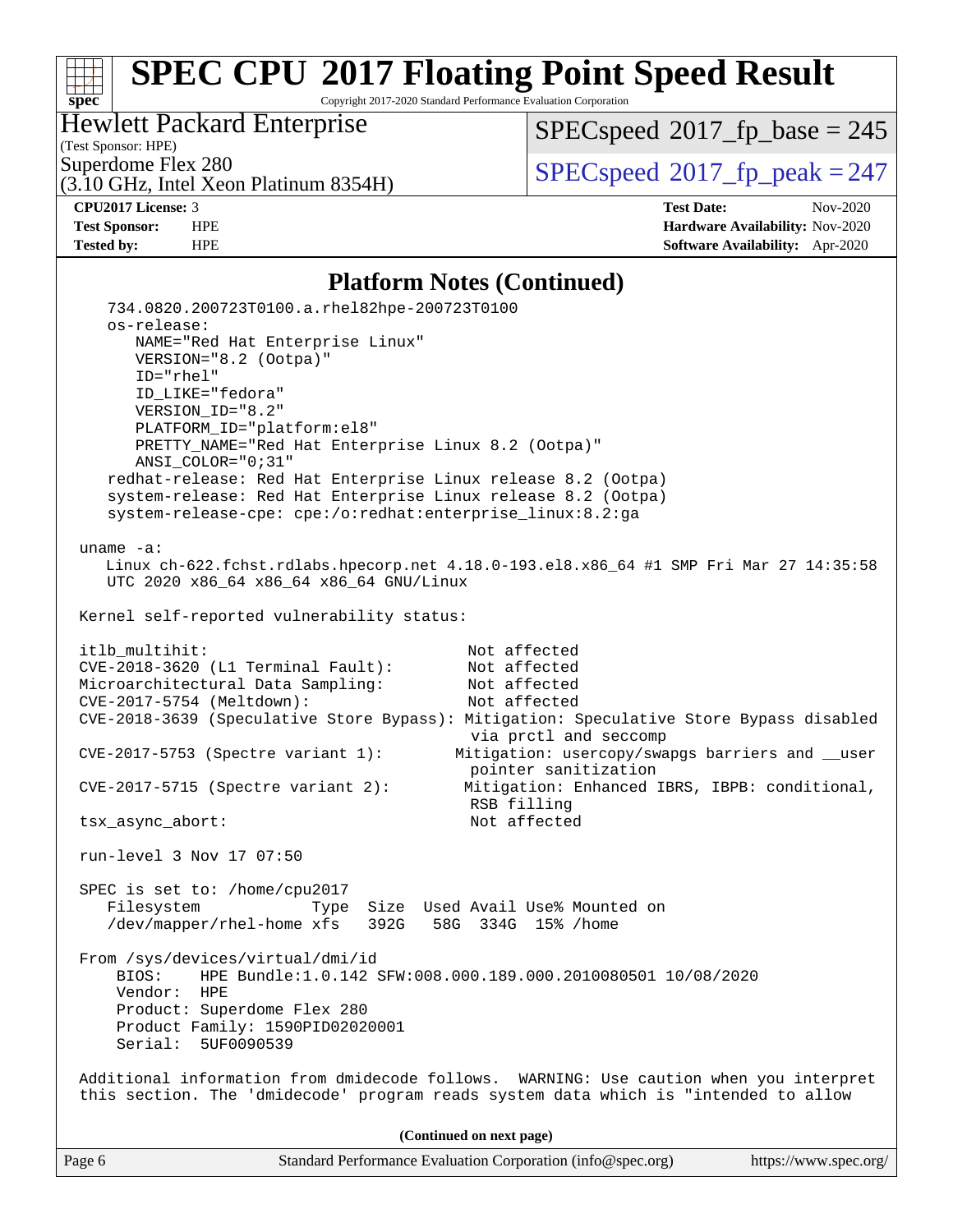Copyright 2017-2020 Standard Performance Evaluation Corporation

### Hewlett Packard Enterprise

(Test Sponsor: HPE)

**[spec](http://www.spec.org/)**

 $SPECspeed*2017_fp\_base = 245$  $SPECspeed*2017_fp\_base = 245$ 

(3.10 GHz, Intel Xeon Platinum 8354H)

Superdome Flex 280<br>  $\begin{array}{|l|l|}\n\hline\n\text{Superdone} & \text{Flex } 280 \\
\hline\n\text{10 GHz Intel Xeon Platinum } 8354\text{H)}\n\hline\n\end{array}$ 

**[CPU2017 License:](http://www.spec.org/auto/cpu2017/Docs/result-fields.html#CPU2017License)** 3 **[Test Date:](http://www.spec.org/auto/cpu2017/Docs/result-fields.html#TestDate)** Nov-2020 **[Test Sponsor:](http://www.spec.org/auto/cpu2017/Docs/result-fields.html#TestSponsor)** HPE **[Hardware Availability:](http://www.spec.org/auto/cpu2017/Docs/result-fields.html#HardwareAvailability)** Nov-2020 **[Tested by:](http://www.spec.org/auto/cpu2017/Docs/result-fields.html#Testedby)** HPE **[Software Availability:](http://www.spec.org/auto/cpu2017/Docs/result-fields.html#SoftwareAvailability)** Apr-2020

#### **[Platform Notes \(Continued\)](http://www.spec.org/auto/cpu2017/Docs/result-fields.html#PlatformNotes)**

| Page 6       | Standard Performance Evaluation Corporation (info@spec.org)<br>https://www.spec.org/                                                                                                                                   |
|--------------|------------------------------------------------------------------------------------------------------------------------------------------------------------------------------------------------------------------------|
|              | (Continued on next page)                                                                                                                                                                                               |
|              | Additional information from dmidecode follows. WARNING: Use caution when you interpret<br>this section. The 'dmidecode' program reads system data which is "intended to allow                                          |
|              | From /sys/devices/virtual/dmi/id<br>HPE Bundle:1.0.142 SFW:008.000.189.000.2010080501 10/08/2020<br>BIOS:<br>Vendor:<br>HPE<br>Product: Superdome Flex 280<br>Product Family: 1590PID02020001<br>Serial:<br>5UF0090539 |
|              | SPEC is set to: /home/cpu2017<br>Filesystem<br>Type Size Used Avail Use% Mounted on<br>/dev/mapper/rhel-home xfs<br>392G 58G 334G 15% / home                                                                           |
|              | run-level 3 Nov 17 07:50                                                                                                                                                                                               |
|              | $CVE-2017-5715$ (Spectre variant 2):<br>Mitigation: Enhanced IBRS, IBPB: conditional,<br>RSB filling<br>Not affected<br>tsx_async_abort:                                                                               |
|              | via prctl and seccomp<br>Mitigation: usercopy/swapgs barriers and __user<br>CVE-2017-5753 (Spectre variant 1):<br>pointer sanitization                                                                                 |
|              | Microarchitectural Data Sampling:<br>Not affected<br>CVE-2017-5754 (Meltdown):<br>Not affected<br>CVE-2018-3639 (Speculative Store Bypass): Mitigation: Speculative Store Bypass disabled                              |
|              | itlb_multihit:<br>Not affected<br>CVE-2018-3620 (L1 Terminal Fault):<br>Not affected                                                                                                                                   |
|              | Kernel self-reported vulnerability status:                                                                                                                                                                             |
| $uname -a$ : | Linux ch-622.fchst.rdlabs.hpecorp.net 4.18.0-193.el8.x86_64 #1 SMP Fri Mar 27 14:35:58<br>UTC 2020 x86_64 x86_64 x86_64 GNU/Linux                                                                                      |
|              | redhat-release: Red Hat Enterprise Linux release 8.2 (Ootpa)<br>system-release: Red Hat Enterprise Linux release 8.2 (Ootpa)<br>system-release-cpe: cpe:/o:redhat:enterprise_linux:8.2:ga                              |
|              | ID_LIKE="fedora"<br>VERSION_ID="8.2"<br>PLATFORM_ID="platform:el8"<br>PRETTY_NAME="Red Hat Enterprise Linux 8.2 (Ootpa)"<br>ANSI_COLOR="0;31"                                                                          |
|              | os-release:<br>NAME="Red Hat Enterprise Linux"<br>VERSION="8.2 (Ootpa)"<br>ID="rhel"                                                                                                                                   |
|              | 734.0820.200723T0100.a.rhel82hpe-200723T0100                                                                                                                                                                           |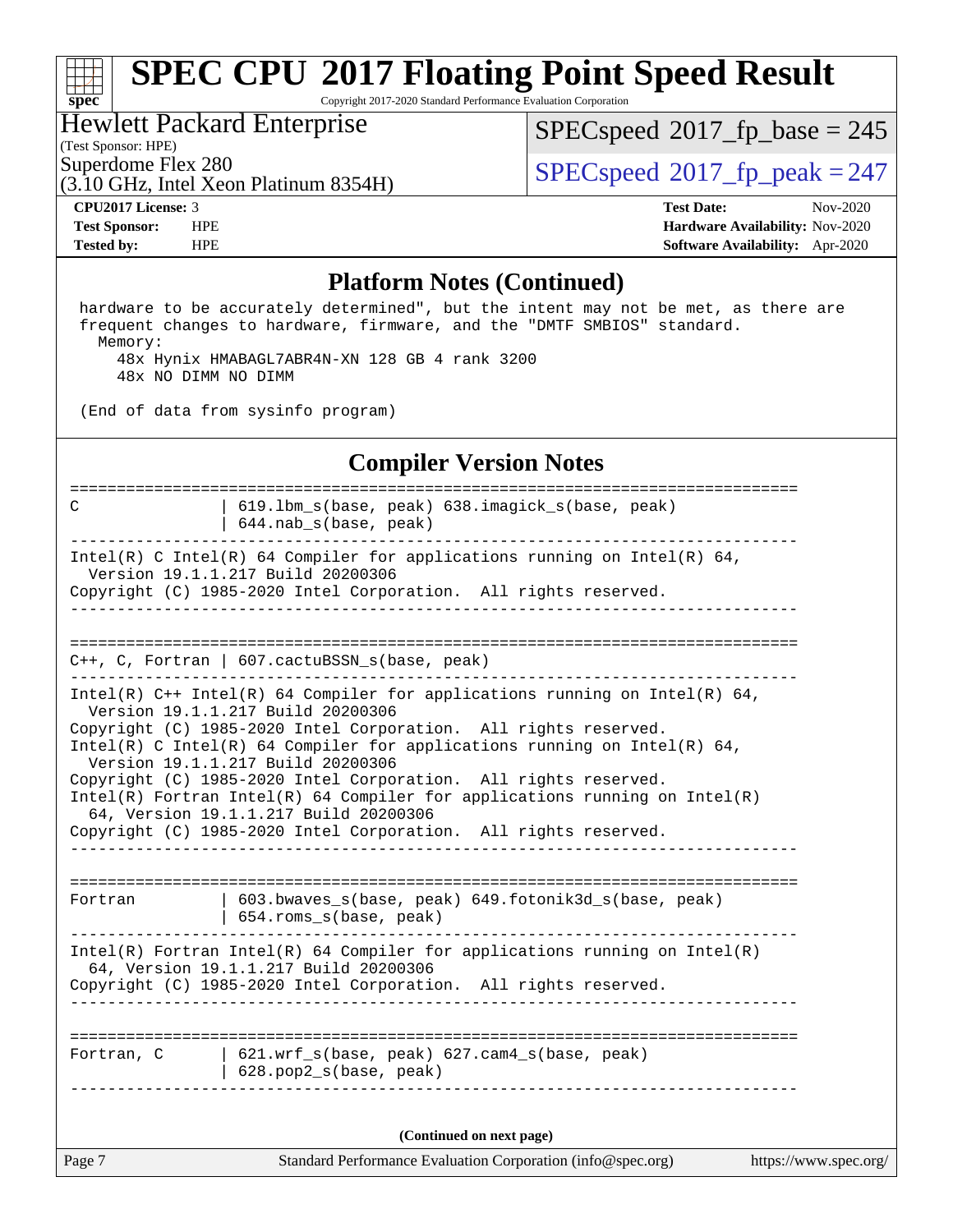Copyright 2017-2020 Standard Performance Evaluation Corporation

### Hewlett Packard Enterprise

(3.10 GHz, Intel Xeon Platinum 8354H)

(Test Sponsor: HPE)

**[spec](http://www.spec.org/)**

 $SPECspeed^{\circledast}2017_fp\_base = 245$  $SPECspeed^{\circledast}2017_fp\_base = 245$ 

Superdome Flex 280<br>(3.10 GHz, Intel Year Platinum 8354H)  $SPECspeed@2017_fp\_peak = 247$  $SPECspeed@2017_fp\_peak = 247$ 

**[CPU2017 License:](http://www.spec.org/auto/cpu2017/Docs/result-fields.html#CPU2017License)** 3 **[Test Date:](http://www.spec.org/auto/cpu2017/Docs/result-fields.html#TestDate)** Nov-2020 **[Test Sponsor:](http://www.spec.org/auto/cpu2017/Docs/result-fields.html#TestSponsor)** HPE **[Hardware Availability:](http://www.spec.org/auto/cpu2017/Docs/result-fields.html#HardwareAvailability)** Nov-2020 **[Tested by:](http://www.spec.org/auto/cpu2017/Docs/result-fields.html#Testedby)** HPE **[Software Availability:](http://www.spec.org/auto/cpu2017/Docs/result-fields.html#SoftwareAvailability)** Apr-2020

#### **[Platform Notes \(Continued\)](http://www.spec.org/auto/cpu2017/Docs/result-fields.html#PlatformNotes)**

 hardware to be accurately determined", but the intent may not be met, as there are frequent changes to hardware, firmware, and the "DMTF SMBIOS" standard. Memory: 48x Hynix HMABAGL7ABR4N-XN 128 GB 4 rank 3200

48x NO DIMM NO DIMM

(End of data from sysinfo program)

#### **[Compiler Version Notes](http://www.spec.org/auto/cpu2017/Docs/result-fields.html#CompilerVersionNotes)**

| Page 7     | Standard Performance Evaluation Corporation (info@spec.org)                                                                                                                                                                                                                                                                                                                                                                                                                                                                                                          | https://www.spec.org/ |
|------------|----------------------------------------------------------------------------------------------------------------------------------------------------------------------------------------------------------------------------------------------------------------------------------------------------------------------------------------------------------------------------------------------------------------------------------------------------------------------------------------------------------------------------------------------------------------------|-----------------------|
|            | (Continued on next page)                                                                                                                                                                                                                                                                                                                                                                                                                                                                                                                                             |                       |
| Fortran, C | 621.wrf_s(base, peak) 627.cam4_s(base, peak)<br>$628.$ pop $2_s(base, peak)$                                                                                                                                                                                                                                                                                                                                                                                                                                                                                         |                       |
|            | $Intel(R)$ Fortran Intel(R) 64 Compiler for applications running on Intel(R)<br>64, Version 19.1.1.217 Build 20200306<br>Copyright (C) 1985-2020 Intel Corporation. All rights reserved.                                                                                                                                                                                                                                                                                                                                                                             |                       |
| Fortran    | 603.bwaves_s(base, peak) 649.fotonik3d_s(base, peak)<br>654.roms_s(base, peak)                                                                                                                                                                                                                                                                                                                                                                                                                                                                                       |                       |
|            | Intel(R) $C++$ Intel(R) 64 Compiler for applications running on Intel(R) 64,<br>Version 19.1.1.217 Build 20200306<br>Copyright (C) 1985-2020 Intel Corporation. All rights reserved.<br>Intel(R) C Intel(R) 64 Compiler for applications running on Intel(R) 64,<br>Version 19.1.1.217 Build 20200306<br>Copyright (C) 1985-2020 Intel Corporation. All rights reserved.<br>$Intel(R)$ Fortran Intel(R) 64 Compiler for applications running on Intel(R)<br>64, Version 19.1.1.217 Build 20200306<br>Copyright (C) 1985-2020 Intel Corporation. All rights reserved. |                       |
|            | $C++$ , C, Fortran   607.cactuBSSN_s(base, peak)                                                                                                                                                                                                                                                                                                                                                                                                                                                                                                                     |                       |
|            | Intel(R) C Intel(R) 64 Compiler for applications running on Intel(R) 64,<br>Version 19.1.1.217 Build 20200306<br>Copyright (C) 1985-2020 Intel Corporation. All rights reserved.                                                                                                                                                                                                                                                                                                                                                                                     |                       |
| C          | 619.1bm_s(base, peak) 638.imagick_s(base, peak)<br>644.nab_s(base, peak)                                                                                                                                                                                                                                                                                                                                                                                                                                                                                             |                       |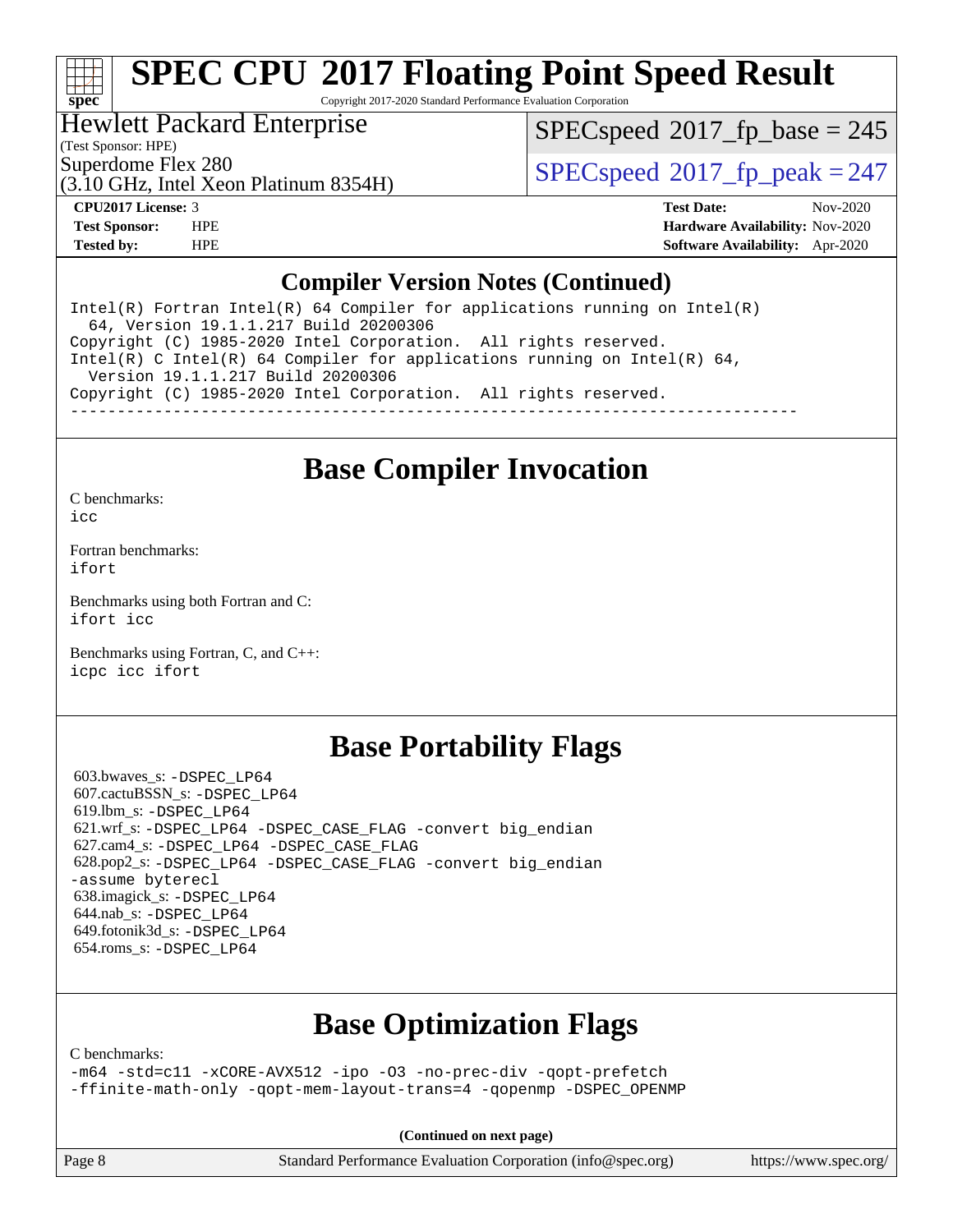# **[spec](http://www.spec.org/)**

# **[SPEC CPU](http://www.spec.org/auto/cpu2017/Docs/result-fields.html#SPECCPU2017FloatingPointSpeedResult)[2017 Floating Point Speed Result](http://www.spec.org/auto/cpu2017/Docs/result-fields.html#SPECCPU2017FloatingPointSpeedResult)**

Copyright 2017-2020 Standard Performance Evaluation Corporation

#### Hewlett Packard Enterprise

[SPECspeed](http://www.spec.org/auto/cpu2017/Docs/result-fields.html#SPECspeed2017fpbase)<sup>®</sup>2017 fp base = 245

(Test Sponsor: HPE)

(3.10 GHz, Intel Xeon Platinum 8354H)

Superdome Flex 280<br>  $SPEC speed^{\circ}2017$  fp\_peak = 247

**[CPU2017 License:](http://www.spec.org/auto/cpu2017/Docs/result-fields.html#CPU2017License)** 3 **[Test Date:](http://www.spec.org/auto/cpu2017/Docs/result-fields.html#TestDate)** Nov-2020 **[Test Sponsor:](http://www.spec.org/auto/cpu2017/Docs/result-fields.html#TestSponsor)** HPE **[Hardware Availability:](http://www.spec.org/auto/cpu2017/Docs/result-fields.html#HardwareAvailability)** Nov-2020 **[Tested by:](http://www.spec.org/auto/cpu2017/Docs/result-fields.html#Testedby)** HPE **[Software Availability:](http://www.spec.org/auto/cpu2017/Docs/result-fields.html#SoftwareAvailability)** Apr-2020

#### **[Compiler Version Notes \(Continued\)](http://www.spec.org/auto/cpu2017/Docs/result-fields.html#CompilerVersionNotes)**

Intel(R) Fortran Intel(R)  $64$  Compiler for applications running on Intel(R) 64, Version 19.1.1.217 Build 20200306 Copyright (C) 1985-2020 Intel Corporation. All rights reserved. Intel(R) C Intel(R) 64 Compiler for applications running on Intel(R) 64, Version 19.1.1.217 Build 20200306 Copyright (C) 1985-2020 Intel Corporation. All rights reserved. ------------------------------------------------------------------------------

### **[Base Compiler Invocation](http://www.spec.org/auto/cpu2017/Docs/result-fields.html#BaseCompilerInvocation)**

[C benchmarks](http://www.spec.org/auto/cpu2017/Docs/result-fields.html#Cbenchmarks):

[icc](http://www.spec.org/cpu2017/results/res2020q4/cpu2017-20201123-24434.flags.html#user_CCbase_intel_icc_66fc1ee009f7361af1fbd72ca7dcefbb700085f36577c54f309893dd4ec40d12360134090235512931783d35fd58c0460139e722d5067c5574d8eaf2b3e37e92)

[Fortran benchmarks](http://www.spec.org/auto/cpu2017/Docs/result-fields.html#Fortranbenchmarks): [ifort](http://www.spec.org/cpu2017/results/res2020q4/cpu2017-20201123-24434.flags.html#user_FCbase_intel_ifort_8111460550e3ca792625aed983ce982f94888b8b503583aa7ba2b8303487b4d8a21a13e7191a45c5fd58ff318f48f9492884d4413fa793fd88dd292cad7027ca)

[Benchmarks using both Fortran and C](http://www.spec.org/auto/cpu2017/Docs/result-fields.html#BenchmarksusingbothFortranandC): [ifort](http://www.spec.org/cpu2017/results/res2020q4/cpu2017-20201123-24434.flags.html#user_CC_FCbase_intel_ifort_8111460550e3ca792625aed983ce982f94888b8b503583aa7ba2b8303487b4d8a21a13e7191a45c5fd58ff318f48f9492884d4413fa793fd88dd292cad7027ca) [icc](http://www.spec.org/cpu2017/results/res2020q4/cpu2017-20201123-24434.flags.html#user_CC_FCbase_intel_icc_66fc1ee009f7361af1fbd72ca7dcefbb700085f36577c54f309893dd4ec40d12360134090235512931783d35fd58c0460139e722d5067c5574d8eaf2b3e37e92)

[Benchmarks using Fortran, C, and C++:](http://www.spec.org/auto/cpu2017/Docs/result-fields.html#BenchmarksusingFortranCandCXX) [icpc](http://www.spec.org/cpu2017/results/res2020q4/cpu2017-20201123-24434.flags.html#user_CC_CXX_FCbase_intel_icpc_c510b6838c7f56d33e37e94d029a35b4a7bccf4766a728ee175e80a419847e808290a9b78be685c44ab727ea267ec2f070ec5dc83b407c0218cded6866a35d07) [icc](http://www.spec.org/cpu2017/results/res2020q4/cpu2017-20201123-24434.flags.html#user_CC_CXX_FCbase_intel_icc_66fc1ee009f7361af1fbd72ca7dcefbb700085f36577c54f309893dd4ec40d12360134090235512931783d35fd58c0460139e722d5067c5574d8eaf2b3e37e92) [ifort](http://www.spec.org/cpu2017/results/res2020q4/cpu2017-20201123-24434.flags.html#user_CC_CXX_FCbase_intel_ifort_8111460550e3ca792625aed983ce982f94888b8b503583aa7ba2b8303487b4d8a21a13e7191a45c5fd58ff318f48f9492884d4413fa793fd88dd292cad7027ca)

### **[Base Portability Flags](http://www.spec.org/auto/cpu2017/Docs/result-fields.html#BasePortabilityFlags)**

 603.bwaves\_s: [-DSPEC\\_LP64](http://www.spec.org/cpu2017/results/res2020q4/cpu2017-20201123-24434.flags.html#suite_basePORTABILITY603_bwaves_s_DSPEC_LP64) 607.cactuBSSN\_s: [-DSPEC\\_LP64](http://www.spec.org/cpu2017/results/res2020q4/cpu2017-20201123-24434.flags.html#suite_basePORTABILITY607_cactuBSSN_s_DSPEC_LP64) 619.lbm\_s: [-DSPEC\\_LP64](http://www.spec.org/cpu2017/results/res2020q4/cpu2017-20201123-24434.flags.html#suite_basePORTABILITY619_lbm_s_DSPEC_LP64) 621.wrf\_s: [-DSPEC\\_LP64](http://www.spec.org/cpu2017/results/res2020q4/cpu2017-20201123-24434.flags.html#suite_basePORTABILITY621_wrf_s_DSPEC_LP64) [-DSPEC\\_CASE\\_FLAG](http://www.spec.org/cpu2017/results/res2020q4/cpu2017-20201123-24434.flags.html#b621.wrf_s_baseCPORTABILITY_DSPEC_CASE_FLAG) [-convert big\\_endian](http://www.spec.org/cpu2017/results/res2020q4/cpu2017-20201123-24434.flags.html#user_baseFPORTABILITY621_wrf_s_convert_big_endian_c3194028bc08c63ac5d04de18c48ce6d347e4e562e8892b8bdbdc0214820426deb8554edfa529a3fb25a586e65a3d812c835984020483e7e73212c4d31a38223) 627.cam4\_s: [-DSPEC\\_LP64](http://www.spec.org/cpu2017/results/res2020q4/cpu2017-20201123-24434.flags.html#suite_basePORTABILITY627_cam4_s_DSPEC_LP64) [-DSPEC\\_CASE\\_FLAG](http://www.spec.org/cpu2017/results/res2020q4/cpu2017-20201123-24434.flags.html#b627.cam4_s_baseCPORTABILITY_DSPEC_CASE_FLAG) 628.pop2\_s: [-DSPEC\\_LP64](http://www.spec.org/cpu2017/results/res2020q4/cpu2017-20201123-24434.flags.html#suite_basePORTABILITY628_pop2_s_DSPEC_LP64) [-DSPEC\\_CASE\\_FLAG](http://www.spec.org/cpu2017/results/res2020q4/cpu2017-20201123-24434.flags.html#b628.pop2_s_baseCPORTABILITY_DSPEC_CASE_FLAG) [-convert big\\_endian](http://www.spec.org/cpu2017/results/res2020q4/cpu2017-20201123-24434.flags.html#user_baseFPORTABILITY628_pop2_s_convert_big_endian_c3194028bc08c63ac5d04de18c48ce6d347e4e562e8892b8bdbdc0214820426deb8554edfa529a3fb25a586e65a3d812c835984020483e7e73212c4d31a38223) [-assume byterecl](http://www.spec.org/cpu2017/results/res2020q4/cpu2017-20201123-24434.flags.html#user_baseFPORTABILITY628_pop2_s_assume_byterecl_7e47d18b9513cf18525430bbf0f2177aa9bf368bc7a059c09b2c06a34b53bd3447c950d3f8d6c70e3faf3a05c8557d66a5798b567902e8849adc142926523472) 638.imagick\_s: [-DSPEC\\_LP64](http://www.spec.org/cpu2017/results/res2020q4/cpu2017-20201123-24434.flags.html#suite_basePORTABILITY638_imagick_s_DSPEC_LP64) 644.nab\_s: [-DSPEC\\_LP64](http://www.spec.org/cpu2017/results/res2020q4/cpu2017-20201123-24434.flags.html#suite_basePORTABILITY644_nab_s_DSPEC_LP64) 649.fotonik3d\_s: [-DSPEC\\_LP64](http://www.spec.org/cpu2017/results/res2020q4/cpu2017-20201123-24434.flags.html#suite_basePORTABILITY649_fotonik3d_s_DSPEC_LP64) 654.roms\_s: [-DSPEC\\_LP64](http://www.spec.org/cpu2017/results/res2020q4/cpu2017-20201123-24434.flags.html#suite_basePORTABILITY654_roms_s_DSPEC_LP64)

# **[Base Optimization Flags](http://www.spec.org/auto/cpu2017/Docs/result-fields.html#BaseOptimizationFlags)**

[C benchmarks](http://www.spec.org/auto/cpu2017/Docs/result-fields.html#Cbenchmarks):

[-m64](http://www.spec.org/cpu2017/results/res2020q4/cpu2017-20201123-24434.flags.html#user_CCbase_m64-icc) [-std=c11](http://www.spec.org/cpu2017/results/res2020q4/cpu2017-20201123-24434.flags.html#user_CCbase_std-icc-std_0e1c27790398a4642dfca32ffe6c27b5796f9c2d2676156f2e42c9c44eaad0c049b1cdb667a270c34d979996257aeb8fc440bfb01818dbc9357bd9d174cb8524) [-xCORE-AVX512](http://www.spec.org/cpu2017/results/res2020q4/cpu2017-20201123-24434.flags.html#user_CCbase_f-xCORE-AVX512) [-ipo](http://www.spec.org/cpu2017/results/res2020q4/cpu2017-20201123-24434.flags.html#user_CCbase_f-ipo) [-O3](http://www.spec.org/cpu2017/results/res2020q4/cpu2017-20201123-24434.flags.html#user_CCbase_f-O3) [-no-prec-div](http://www.spec.org/cpu2017/results/res2020q4/cpu2017-20201123-24434.flags.html#user_CCbase_f-no-prec-div) [-qopt-prefetch](http://www.spec.org/cpu2017/results/res2020q4/cpu2017-20201123-24434.flags.html#user_CCbase_f-qopt-prefetch) [-ffinite-math-only](http://www.spec.org/cpu2017/results/res2020q4/cpu2017-20201123-24434.flags.html#user_CCbase_f_finite_math_only_cb91587bd2077682c4b38af759c288ed7c732db004271a9512da14a4f8007909a5f1427ecbf1a0fb78ff2a814402c6114ac565ca162485bbcae155b5e4258871) [-qopt-mem-layout-trans=4](http://www.spec.org/cpu2017/results/res2020q4/cpu2017-20201123-24434.flags.html#user_CCbase_f-qopt-mem-layout-trans_fa39e755916c150a61361b7846f310bcdf6f04e385ef281cadf3647acec3f0ae266d1a1d22d972a7087a248fd4e6ca390a3634700869573d231a252c784941a8) [-qopenmp](http://www.spec.org/cpu2017/results/res2020q4/cpu2017-20201123-24434.flags.html#user_CCbase_qopenmp_16be0c44f24f464004c6784a7acb94aca937f053568ce72f94b139a11c7c168634a55f6653758ddd83bcf7b8463e8028bb0b48b77bcddc6b78d5d95bb1df2967) [-DSPEC\\_OPENMP](http://www.spec.org/cpu2017/results/res2020q4/cpu2017-20201123-24434.flags.html#suite_CCbase_DSPEC_OPENMP)

**(Continued on next page)**

Page 8 Standard Performance Evaluation Corporation [\(info@spec.org\)](mailto:info@spec.org) <https://www.spec.org/>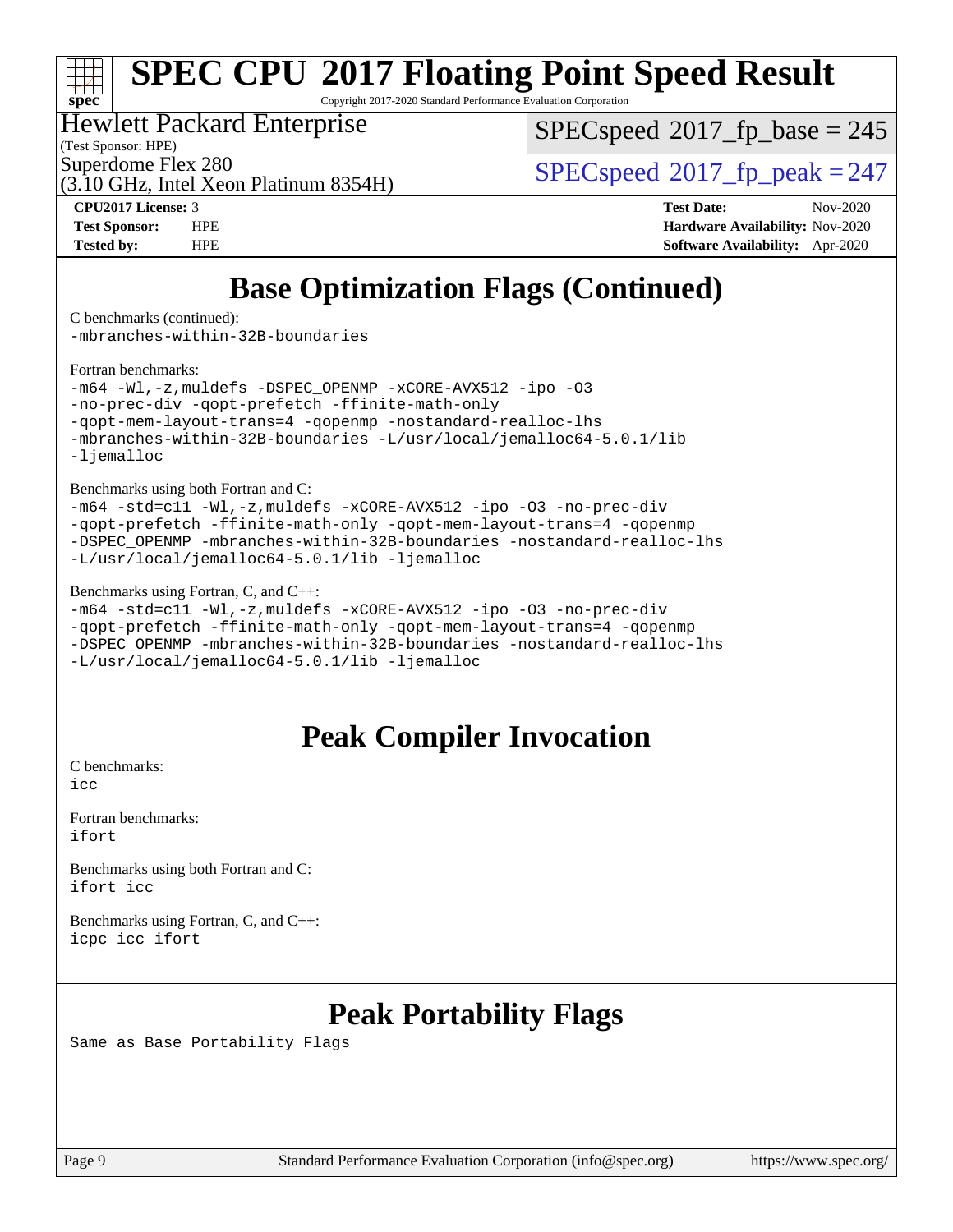# **[spec](http://www.spec.org/)**

# **[SPEC CPU](http://www.spec.org/auto/cpu2017/Docs/result-fields.html#SPECCPU2017FloatingPointSpeedResult)[2017 Floating Point Speed Result](http://www.spec.org/auto/cpu2017/Docs/result-fields.html#SPECCPU2017FloatingPointSpeedResult)**

Copyright 2017-2020 Standard Performance Evaluation Corporation

#### Hewlett Packard Enterprise

(Test Sponsor: HPE)

[SPECspeed](http://www.spec.org/auto/cpu2017/Docs/result-fields.html#SPECspeed2017fpbase)<sup>®</sup>2017 fp base = 245

(3.10 GHz, Intel Xeon Platinum 8354H)

Superdome Flex 280<br>  $SPEC speed^{\circ}2017$  fp\_peak = 247

**[CPU2017 License:](http://www.spec.org/auto/cpu2017/Docs/result-fields.html#CPU2017License)** 3 **[Test Date:](http://www.spec.org/auto/cpu2017/Docs/result-fields.html#TestDate)** Nov-2020 **[Test Sponsor:](http://www.spec.org/auto/cpu2017/Docs/result-fields.html#TestSponsor)** HPE **[Hardware Availability:](http://www.spec.org/auto/cpu2017/Docs/result-fields.html#HardwareAvailability)** Nov-2020 **[Tested by:](http://www.spec.org/auto/cpu2017/Docs/result-fields.html#Testedby)** HPE **[Software Availability:](http://www.spec.org/auto/cpu2017/Docs/result-fields.html#SoftwareAvailability)** Apr-2020

# **[Base Optimization Flags \(Continued\)](http://www.spec.org/auto/cpu2017/Docs/result-fields.html#BaseOptimizationFlags)**

[C benchmarks](http://www.spec.org/auto/cpu2017/Docs/result-fields.html#Cbenchmarks) (continued):

[-mbranches-within-32B-boundaries](http://www.spec.org/cpu2017/results/res2020q4/cpu2017-20201123-24434.flags.html#user_CCbase_f-mbranches-within-32B-boundaries)

[Fortran benchmarks](http://www.spec.org/auto/cpu2017/Docs/result-fields.html#Fortranbenchmarks):

```
-m64 -Wl,-z,muldefs -DSPEC_OPENMP -xCORE-AVX512 -ipo -O3
-no-prec-div -qopt-prefetch -ffinite-math-only
-qopt-mem-layout-trans=4 -qopenmp -nostandard-realloc-lhs
-mbranches-within-32B-boundaries -L/usr/local/jemalloc64-5.0.1/lib
-ljemalloc
```
[Benchmarks using both Fortran and C](http://www.spec.org/auto/cpu2017/Docs/result-fields.html#BenchmarksusingbothFortranandC):

```
-m64 -std=c11 -Wl,-z,muldefs -xCORE-AVX512 -ipo -O3 -no-prec-div
-qopt-prefetch -ffinite-math-only -qopt-mem-layout-trans=4 -qopenmp
-DSPEC_OPENMP -mbranches-within-32B-boundaries -nostandard-realloc-lhs
-L/usr/local/jemalloc64-5.0.1/lib -ljemalloc
```
#### [Benchmarks using Fortran, C, and C++:](http://www.spec.org/auto/cpu2017/Docs/result-fields.html#BenchmarksusingFortranCandCXX)

[-m64](http://www.spec.org/cpu2017/results/res2020q4/cpu2017-20201123-24434.flags.html#user_CC_CXX_FCbase_m64-icc) [-std=c11](http://www.spec.org/cpu2017/results/res2020q4/cpu2017-20201123-24434.flags.html#user_CC_CXX_FCbase_std-icc-std_0e1c27790398a4642dfca32ffe6c27b5796f9c2d2676156f2e42c9c44eaad0c049b1cdb667a270c34d979996257aeb8fc440bfb01818dbc9357bd9d174cb8524) [-Wl,-z,muldefs](http://www.spec.org/cpu2017/results/res2020q4/cpu2017-20201123-24434.flags.html#user_CC_CXX_FCbase_link_force_multiple1_b4cbdb97b34bdee9ceefcfe54f4c8ea74255f0b02a4b23e853cdb0e18eb4525ac79b5a88067c842dd0ee6996c24547a27a4b99331201badda8798ef8a743f577) [-xCORE-AVX512](http://www.spec.org/cpu2017/results/res2020q4/cpu2017-20201123-24434.flags.html#user_CC_CXX_FCbase_f-xCORE-AVX512) [-ipo](http://www.spec.org/cpu2017/results/res2020q4/cpu2017-20201123-24434.flags.html#user_CC_CXX_FCbase_f-ipo) [-O3](http://www.spec.org/cpu2017/results/res2020q4/cpu2017-20201123-24434.flags.html#user_CC_CXX_FCbase_f-O3) [-no-prec-div](http://www.spec.org/cpu2017/results/res2020q4/cpu2017-20201123-24434.flags.html#user_CC_CXX_FCbase_f-no-prec-div) [-qopt-prefetch](http://www.spec.org/cpu2017/results/res2020q4/cpu2017-20201123-24434.flags.html#user_CC_CXX_FCbase_f-qopt-prefetch) [-ffinite-math-only](http://www.spec.org/cpu2017/results/res2020q4/cpu2017-20201123-24434.flags.html#user_CC_CXX_FCbase_f_finite_math_only_cb91587bd2077682c4b38af759c288ed7c732db004271a9512da14a4f8007909a5f1427ecbf1a0fb78ff2a814402c6114ac565ca162485bbcae155b5e4258871) [-qopt-mem-layout-trans=4](http://www.spec.org/cpu2017/results/res2020q4/cpu2017-20201123-24434.flags.html#user_CC_CXX_FCbase_f-qopt-mem-layout-trans_fa39e755916c150a61361b7846f310bcdf6f04e385ef281cadf3647acec3f0ae266d1a1d22d972a7087a248fd4e6ca390a3634700869573d231a252c784941a8) [-qopenmp](http://www.spec.org/cpu2017/results/res2020q4/cpu2017-20201123-24434.flags.html#user_CC_CXX_FCbase_qopenmp_16be0c44f24f464004c6784a7acb94aca937f053568ce72f94b139a11c7c168634a55f6653758ddd83bcf7b8463e8028bb0b48b77bcddc6b78d5d95bb1df2967) [-DSPEC\\_OPENMP](http://www.spec.org/cpu2017/results/res2020q4/cpu2017-20201123-24434.flags.html#suite_CC_CXX_FCbase_DSPEC_OPENMP) [-mbranches-within-32B-boundaries](http://www.spec.org/cpu2017/results/res2020q4/cpu2017-20201123-24434.flags.html#user_CC_CXX_FCbase_f-mbranches-within-32B-boundaries) [-nostandard-realloc-lhs](http://www.spec.org/cpu2017/results/res2020q4/cpu2017-20201123-24434.flags.html#user_CC_CXX_FCbase_f_2003_std_realloc_82b4557e90729c0f113870c07e44d33d6f5a304b4f63d4c15d2d0f1fab99f5daaed73bdb9275d9ae411527f28b936061aa8b9c8f2d63842963b95c9dd6426b8a) [-L/usr/local/jemalloc64-5.0.1/lib](http://www.spec.org/cpu2017/results/res2020q4/cpu2017-20201123-24434.flags.html#user_CC_CXX_FCbase_jemalloc_link_path64_1_cc289568b1a6c0fd3b62c91b824c27fcb5af5e8098e6ad028160d21144ef1b8aef3170d2acf0bee98a8da324cfe4f67d0a3d0c4cc4673d993d694dc2a0df248b) [-ljemalloc](http://www.spec.org/cpu2017/results/res2020q4/cpu2017-20201123-24434.flags.html#user_CC_CXX_FCbase_jemalloc_link_lib_d1249b907c500fa1c0672f44f562e3d0f79738ae9e3c4a9c376d49f265a04b9c99b167ecedbf6711b3085be911c67ff61f150a17b3472be731631ba4d0471706)

## **[Peak Compiler Invocation](http://www.spec.org/auto/cpu2017/Docs/result-fields.html#PeakCompilerInvocation)**

[C benchmarks](http://www.spec.org/auto/cpu2017/Docs/result-fields.html#Cbenchmarks): [icc](http://www.spec.org/cpu2017/results/res2020q4/cpu2017-20201123-24434.flags.html#user_CCpeak_intel_icc_66fc1ee009f7361af1fbd72ca7dcefbb700085f36577c54f309893dd4ec40d12360134090235512931783d35fd58c0460139e722d5067c5574d8eaf2b3e37e92)

[Fortran benchmarks](http://www.spec.org/auto/cpu2017/Docs/result-fields.html#Fortranbenchmarks): [ifort](http://www.spec.org/cpu2017/results/res2020q4/cpu2017-20201123-24434.flags.html#user_FCpeak_intel_ifort_8111460550e3ca792625aed983ce982f94888b8b503583aa7ba2b8303487b4d8a21a13e7191a45c5fd58ff318f48f9492884d4413fa793fd88dd292cad7027ca)

[Benchmarks using both Fortran and C](http://www.spec.org/auto/cpu2017/Docs/result-fields.html#BenchmarksusingbothFortranandC): [ifort](http://www.spec.org/cpu2017/results/res2020q4/cpu2017-20201123-24434.flags.html#user_CC_FCpeak_intel_ifort_8111460550e3ca792625aed983ce982f94888b8b503583aa7ba2b8303487b4d8a21a13e7191a45c5fd58ff318f48f9492884d4413fa793fd88dd292cad7027ca) [icc](http://www.spec.org/cpu2017/results/res2020q4/cpu2017-20201123-24434.flags.html#user_CC_FCpeak_intel_icc_66fc1ee009f7361af1fbd72ca7dcefbb700085f36577c54f309893dd4ec40d12360134090235512931783d35fd58c0460139e722d5067c5574d8eaf2b3e37e92)

[Benchmarks using Fortran, C, and C++:](http://www.spec.org/auto/cpu2017/Docs/result-fields.html#BenchmarksusingFortranCandCXX) [icpc](http://www.spec.org/cpu2017/results/res2020q4/cpu2017-20201123-24434.flags.html#user_CC_CXX_FCpeak_intel_icpc_c510b6838c7f56d33e37e94d029a35b4a7bccf4766a728ee175e80a419847e808290a9b78be685c44ab727ea267ec2f070ec5dc83b407c0218cded6866a35d07) [icc](http://www.spec.org/cpu2017/results/res2020q4/cpu2017-20201123-24434.flags.html#user_CC_CXX_FCpeak_intel_icc_66fc1ee009f7361af1fbd72ca7dcefbb700085f36577c54f309893dd4ec40d12360134090235512931783d35fd58c0460139e722d5067c5574d8eaf2b3e37e92) [ifort](http://www.spec.org/cpu2017/results/res2020q4/cpu2017-20201123-24434.flags.html#user_CC_CXX_FCpeak_intel_ifort_8111460550e3ca792625aed983ce982f94888b8b503583aa7ba2b8303487b4d8a21a13e7191a45c5fd58ff318f48f9492884d4413fa793fd88dd292cad7027ca)

# **[Peak Portability Flags](http://www.spec.org/auto/cpu2017/Docs/result-fields.html#PeakPortabilityFlags)**

Same as Base Portability Flags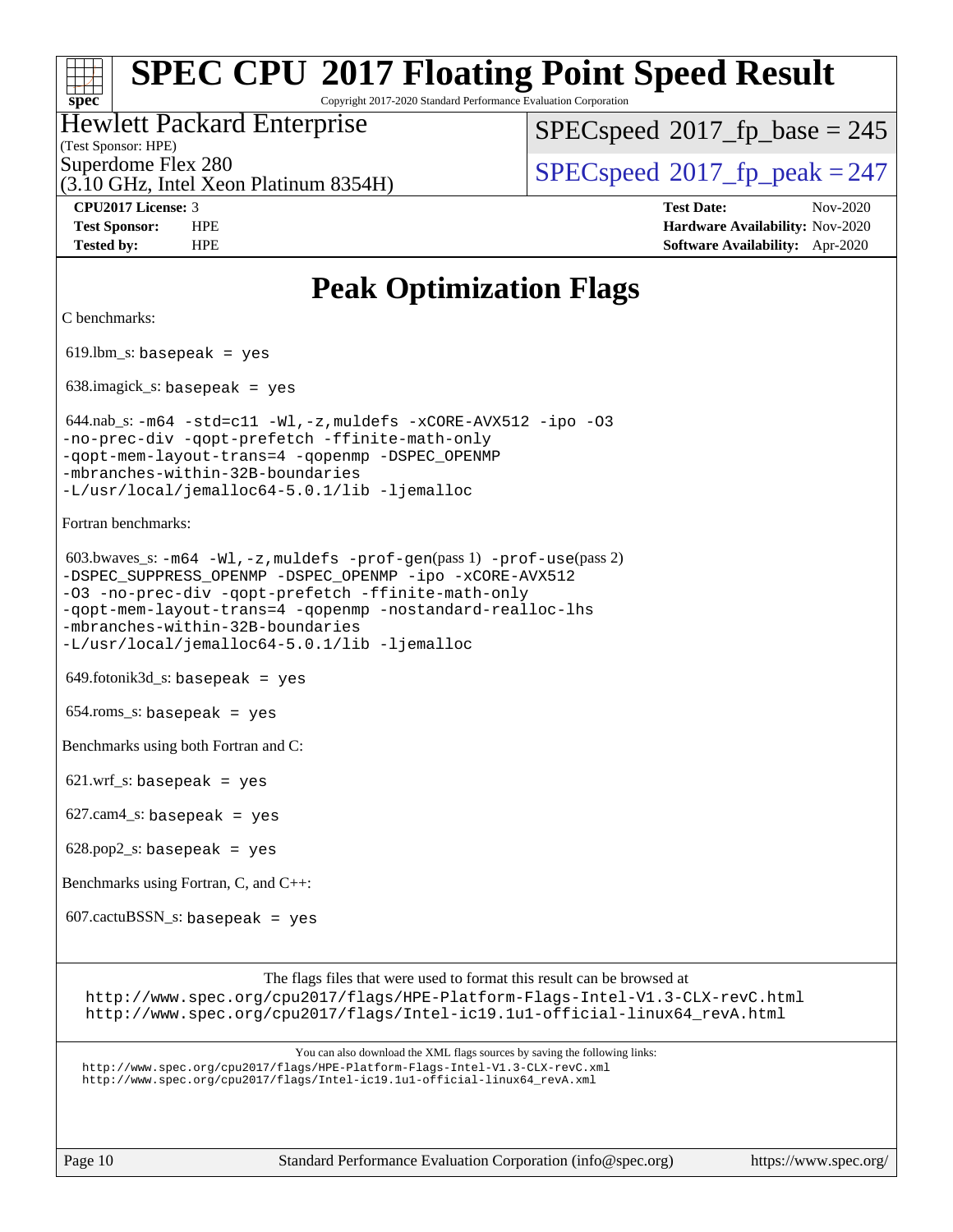Copyright 2017-2020 Standard Performance Evaluation Corporation

#### Hewlett Packard Enterprise

(Test Sponsor: HPE)

[SPECspeed](http://www.spec.org/auto/cpu2017/Docs/result-fields.html#SPECspeed2017fpbase)<sup>®</sup>2017 fp base = 245

(3.10 GHz, Intel Xeon Platinum 8354H)

Superdome Flex 280<br>  $SPEC speed^{\circ}2017$  fp\_peak = 247

**[CPU2017 License:](http://www.spec.org/auto/cpu2017/Docs/result-fields.html#CPU2017License)** 3 **[Test Date:](http://www.spec.org/auto/cpu2017/Docs/result-fields.html#TestDate)** Nov-2020 **[Test Sponsor:](http://www.spec.org/auto/cpu2017/Docs/result-fields.html#TestSponsor)** HPE **[Hardware Availability:](http://www.spec.org/auto/cpu2017/Docs/result-fields.html#HardwareAvailability)** Nov-2020 **[Tested by:](http://www.spec.org/auto/cpu2017/Docs/result-fields.html#Testedby)** HPE **[Software Availability:](http://www.spec.org/auto/cpu2017/Docs/result-fields.html#SoftwareAvailability)** Apr-2020

## **[Peak Optimization Flags](http://www.spec.org/auto/cpu2017/Docs/result-fields.html#PeakOptimizationFlags)**

[C benchmarks](http://www.spec.org/auto/cpu2017/Docs/result-fields.html#Cbenchmarks):

**[spec](http://www.spec.org/)**

619.lbm\_s: basepeak = yes

638.imagick\_s: basepeak = yes

 $644.nab_s: -m64 -std = c11 -Wl, -z, muldefs -xCORE-AVX512 -ipo -03$  $644.nab_s: -m64 -std = c11 -Wl, -z, muldefs -xCORE-AVX512 -ipo -03$  $644.nab_s: -m64 -std = c11 -Wl, -z, muldefs -xCORE-AVX512 -ipo -03$  $644.nab_s: -m64 -std = c11 -Wl, -z, muldefs -xCORE-AVX512 -ipo -03$  $644.nab_s: -m64 -std = c11 -Wl, -z, muldefs -xCORE-AVX512 -ipo -03$  $644.nab_s: -m64 -std = c11 -Wl, -z, muldefs -xCORE-AVX512 -ipo -03$  $644.nab_s: -m64 -std = c11 -Wl, -z, muldefs -xCORE-AVX512 -ipo -03$ [-no-prec-div](http://www.spec.org/cpu2017/results/res2020q4/cpu2017-20201123-24434.flags.html#user_peakCOPTIMIZE644_nab_s_f-no-prec-div) [-qopt-prefetch](http://www.spec.org/cpu2017/results/res2020q4/cpu2017-20201123-24434.flags.html#user_peakCOPTIMIZE644_nab_s_f-qopt-prefetch) [-ffinite-math-only](http://www.spec.org/cpu2017/results/res2020q4/cpu2017-20201123-24434.flags.html#user_peakCOPTIMIZE644_nab_s_f_finite_math_only_cb91587bd2077682c4b38af759c288ed7c732db004271a9512da14a4f8007909a5f1427ecbf1a0fb78ff2a814402c6114ac565ca162485bbcae155b5e4258871) [-qopt-mem-layout-trans=4](http://www.spec.org/cpu2017/results/res2020q4/cpu2017-20201123-24434.flags.html#user_peakCOPTIMIZE644_nab_s_f-qopt-mem-layout-trans_fa39e755916c150a61361b7846f310bcdf6f04e385ef281cadf3647acec3f0ae266d1a1d22d972a7087a248fd4e6ca390a3634700869573d231a252c784941a8) [-qopenmp](http://www.spec.org/cpu2017/results/res2020q4/cpu2017-20201123-24434.flags.html#user_peakCOPTIMIZE644_nab_s_qopenmp_16be0c44f24f464004c6784a7acb94aca937f053568ce72f94b139a11c7c168634a55f6653758ddd83bcf7b8463e8028bb0b48b77bcddc6b78d5d95bb1df2967) [-DSPEC\\_OPENMP](http://www.spec.org/cpu2017/results/res2020q4/cpu2017-20201123-24434.flags.html#suite_peakCOPTIMIZE644_nab_s_DSPEC_OPENMP) [-mbranches-within-32B-boundaries](http://www.spec.org/cpu2017/results/res2020q4/cpu2017-20201123-24434.flags.html#user_peakEXTRA_COPTIMIZE644_nab_s_f-mbranches-within-32B-boundaries) [-L/usr/local/jemalloc64-5.0.1/lib](http://www.spec.org/cpu2017/results/res2020q4/cpu2017-20201123-24434.flags.html#user_peakEXTRA_LIBS644_nab_s_jemalloc_link_path64_1_cc289568b1a6c0fd3b62c91b824c27fcb5af5e8098e6ad028160d21144ef1b8aef3170d2acf0bee98a8da324cfe4f67d0a3d0c4cc4673d993d694dc2a0df248b) [-ljemalloc](http://www.spec.org/cpu2017/results/res2020q4/cpu2017-20201123-24434.flags.html#user_peakEXTRA_LIBS644_nab_s_jemalloc_link_lib_d1249b907c500fa1c0672f44f562e3d0f79738ae9e3c4a9c376d49f265a04b9c99b167ecedbf6711b3085be911c67ff61f150a17b3472be731631ba4d0471706)

[Fortran benchmarks](http://www.spec.org/auto/cpu2017/Docs/result-fields.html#Fortranbenchmarks):

 603.bwaves\_s: [-m64](http://www.spec.org/cpu2017/results/res2020q4/cpu2017-20201123-24434.flags.html#user_peakFCLD603_bwaves_s_m64-icc) [-Wl,-z,muldefs](http://www.spec.org/cpu2017/results/res2020q4/cpu2017-20201123-24434.flags.html#user_peakEXTRA_LDFLAGS603_bwaves_s_link_force_multiple1_b4cbdb97b34bdee9ceefcfe54f4c8ea74255f0b02a4b23e853cdb0e18eb4525ac79b5a88067c842dd0ee6996c24547a27a4b99331201badda8798ef8a743f577) [-prof-gen](http://www.spec.org/cpu2017/results/res2020q4/cpu2017-20201123-24434.flags.html#user_peakPASS1_FFLAGSPASS1_LDFLAGS603_bwaves_s_prof_gen_5aa4926d6013ddb2a31985c654b3eb18169fc0c6952a63635c234f711e6e63dd76e94ad52365559451ec499a2cdb89e4dc58ba4c67ef54ca681ffbe1461d6b36)(pass 1) [-prof-use](http://www.spec.org/cpu2017/results/res2020q4/cpu2017-20201123-24434.flags.html#user_peakPASS2_FFLAGSPASS2_LDFLAGS603_bwaves_s_prof_use_1a21ceae95f36a2b53c25747139a6c16ca95bd9def2a207b4f0849963b97e94f5260e30a0c64f4bb623698870e679ca08317ef8150905d41bd88c6f78df73f19)(pass 2) [-DSPEC\\_SUPPRESS\\_OPENMP](http://www.spec.org/cpu2017/results/res2020q4/cpu2017-20201123-24434.flags.html#suite_peakPASS1_FOPTIMIZE603_bwaves_s_DSPEC_SUPPRESS_OPENMP) [-DSPEC\\_OPENMP](http://www.spec.org/cpu2017/results/res2020q4/cpu2017-20201123-24434.flags.html#suite_peakPASS2_FOPTIMIZE603_bwaves_s_DSPEC_OPENMP) [-ipo](http://www.spec.org/cpu2017/results/res2020q4/cpu2017-20201123-24434.flags.html#user_peakPASS1_FOPTIMIZEPASS2_FOPTIMIZE603_bwaves_s_f-ipo) [-xCORE-AVX512](http://www.spec.org/cpu2017/results/res2020q4/cpu2017-20201123-24434.flags.html#user_peakPASS2_FOPTIMIZE603_bwaves_s_f-xCORE-AVX512) [-O3](http://www.spec.org/cpu2017/results/res2020q4/cpu2017-20201123-24434.flags.html#user_peakPASS1_FOPTIMIZEPASS2_FOPTIMIZE603_bwaves_s_f-O3) [-no-prec-div](http://www.spec.org/cpu2017/results/res2020q4/cpu2017-20201123-24434.flags.html#user_peakPASS1_FOPTIMIZEPASS2_FOPTIMIZE603_bwaves_s_f-no-prec-div) [-qopt-prefetch](http://www.spec.org/cpu2017/results/res2020q4/cpu2017-20201123-24434.flags.html#user_peakPASS1_FOPTIMIZEPASS2_FOPTIMIZE603_bwaves_s_f-qopt-prefetch) [-ffinite-math-only](http://www.spec.org/cpu2017/results/res2020q4/cpu2017-20201123-24434.flags.html#user_peakPASS1_FOPTIMIZEPASS2_FOPTIMIZE603_bwaves_s_f_finite_math_only_cb91587bd2077682c4b38af759c288ed7c732db004271a9512da14a4f8007909a5f1427ecbf1a0fb78ff2a814402c6114ac565ca162485bbcae155b5e4258871) [-qopt-mem-layout-trans=4](http://www.spec.org/cpu2017/results/res2020q4/cpu2017-20201123-24434.flags.html#user_peakPASS1_FOPTIMIZEPASS2_FOPTIMIZE603_bwaves_s_f-qopt-mem-layout-trans_fa39e755916c150a61361b7846f310bcdf6f04e385ef281cadf3647acec3f0ae266d1a1d22d972a7087a248fd4e6ca390a3634700869573d231a252c784941a8) [-qopenmp](http://www.spec.org/cpu2017/results/res2020q4/cpu2017-20201123-24434.flags.html#user_peakPASS2_FOPTIMIZE603_bwaves_s_qopenmp_16be0c44f24f464004c6784a7acb94aca937f053568ce72f94b139a11c7c168634a55f6653758ddd83bcf7b8463e8028bb0b48b77bcddc6b78d5d95bb1df2967) [-nostandard-realloc-lhs](http://www.spec.org/cpu2017/results/res2020q4/cpu2017-20201123-24434.flags.html#user_peakEXTRA_FOPTIMIZE603_bwaves_s_f_2003_std_realloc_82b4557e90729c0f113870c07e44d33d6f5a304b4f63d4c15d2d0f1fab99f5daaed73bdb9275d9ae411527f28b936061aa8b9c8f2d63842963b95c9dd6426b8a) [-mbranches-within-32B-boundaries](http://www.spec.org/cpu2017/results/res2020q4/cpu2017-20201123-24434.flags.html#user_peakEXTRA_FOPTIMIZE603_bwaves_s_f-mbranches-within-32B-boundaries)

[-L/usr/local/jemalloc64-5.0.1/lib](http://www.spec.org/cpu2017/results/res2020q4/cpu2017-20201123-24434.flags.html#user_peakEXTRA_LIBS603_bwaves_s_jemalloc_link_path64_1_cc289568b1a6c0fd3b62c91b824c27fcb5af5e8098e6ad028160d21144ef1b8aef3170d2acf0bee98a8da324cfe4f67d0a3d0c4cc4673d993d694dc2a0df248b) [-ljemalloc](http://www.spec.org/cpu2017/results/res2020q4/cpu2017-20201123-24434.flags.html#user_peakEXTRA_LIBS603_bwaves_s_jemalloc_link_lib_d1249b907c500fa1c0672f44f562e3d0f79738ae9e3c4a9c376d49f265a04b9c99b167ecedbf6711b3085be911c67ff61f150a17b3472be731631ba4d0471706)

 $649.$ fotonik $3d$ <sub>-</sub>s: basepeak = yes

654.roms\_s: basepeak = yes

[Benchmarks using both Fortran and C](http://www.spec.org/auto/cpu2017/Docs/result-fields.html#BenchmarksusingbothFortranandC):

 $621.wrf_s$ : basepeak = yes

 $627$ .cam $4$ <sub>-</sub>s: basepeak = yes

 $628.$ pop2\_s: basepeak = yes

[Benchmarks using Fortran, C, and C++](http://www.spec.org/auto/cpu2017/Docs/result-fields.html#BenchmarksusingFortranCandCXX):

 $607$ .cactu $BSSN$ <sub>s</sub>: basepeak = yes

[The flags files that were used to format this result can be browsed at](tmsearch)

<http://www.spec.org/cpu2017/flags/HPE-Platform-Flags-Intel-V1.3-CLX-revC.html> [http://www.spec.org/cpu2017/flags/Intel-ic19.1u1-official-linux64\\_revA.html](http://www.spec.org/cpu2017/flags/Intel-ic19.1u1-official-linux64_revA.html)

[You can also download the XML flags sources by saving the following links:](tmsearch)

<http://www.spec.org/cpu2017/flags/HPE-Platform-Flags-Intel-V1.3-CLX-revC.xml> [http://www.spec.org/cpu2017/flags/Intel-ic19.1u1-official-linux64\\_revA.xml](http://www.spec.org/cpu2017/flags/Intel-ic19.1u1-official-linux64_revA.xml)